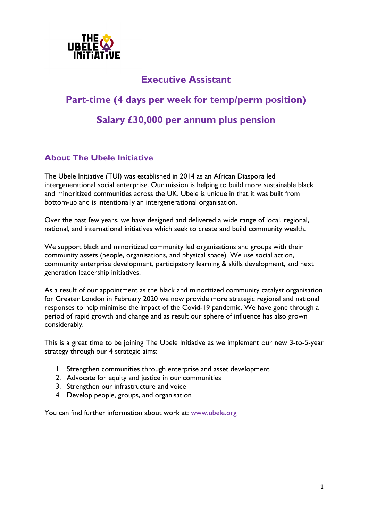

# **Executive Assistant**

# **Part-time (4 days per week for temp/perm position) Salary £30,000 per annum plus pension**

# **About The Ubele Initiative**

The Ubele Initiative (TUI) was established in 2014 as an African Diaspora led intergenerational social enterprise. Our mission is helping to build more sustainable black and minoritized communities across the UK. Ubele is unique in that it was built from bottom-up and is intentionally an intergenerational organisation.

Over the past few years, we have designed and delivered a wide range of local, regional, national, and international initiatives which seek to create and build community wealth.

We support black and minoritized community led organisations and groups with their community assets (people, organisations, and physical space). We use social action, community enterprise development, participatory learning & skills development, and next generation leadership initiatives.

As a result of our appointment as the black and minoritized community catalyst organisation for Greater London in February 2020 we now provide more strategic regional and national responses to help minimise the impact of the Covid-19 pandemic. We have gone through a period of rapid growth and change and as result our sphere of influence has also grown considerably.

This is a great time to be joining The Ubele Initiative as we implement our new 3-to-5-year strategy through our 4 strategic aims:

- 1. Strengthen communities through enterprise and asset development
- 2. Advocate for equity and justice in our communities
- 3. Strengthen our infrastructure and voice
- 4. Develop people, groups, and organisation

You can find further information about work at: www.ubele.org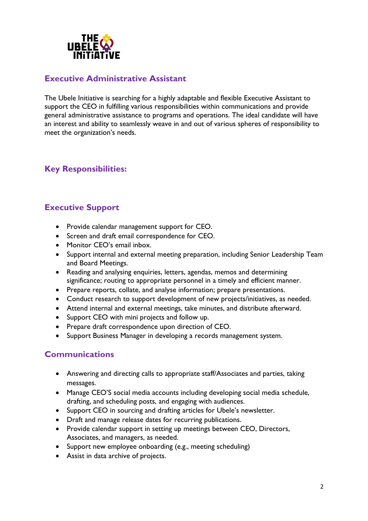

## **Executive Administrative Assistant**

The Ubele Initiative is searching for a highly adaptable and flexible Executive Assistant to support the CEO in fulfilling various responsibilities within communications and provide general administrative assistance to programs and operations. The ideal candidate will have an interest and ability to seamlessly weave in and out of various spheres of responsibility to meet the organization's needs.

# **Key Responsibilities:**

# **Executive Support**

- Provide calendar management support for CEO.
- Screen and draft email correspondence for CEO.
- Monitor CEO's email inbox.
- Support internal and external meeting preparation, including Senior Leadership Team and Board Meetings.
- Reading and analysing enquiries, letters, agendas, memos and determining significance; routing to appropriate personnel in a timely and efficient manner.
- Prepare reports, collate, and analyse information; prepare presentations.
- Conduct research to support development of new projects/initiatives, as needed.
- Attend internal and external meetings, take minutes, and distribute afterward.
- Support CEO with mini projects and follow up.
- Prepare draft correspondence upon direction of CEO.
- Support Business Manager in developing a records management system.

#### **Communications**

- Answering and directing calls to appropriate staff/Associates and parties, taking messages.
- Manage CEO'S social media accounts including developing social media schedule, drafting, and scheduling posts, and engaging with audiences.
- Support CEO in sourcing and drafting articles for Ubele's newsletter.
- Draft and manage release dates for recurring publications.
- Provide calendar support in setting up meetings between CEO, Directors, Associates, and managers, as needed.
- Support new employee onboarding (e.g., meeting scheduling)
- Assist in data archive of projects.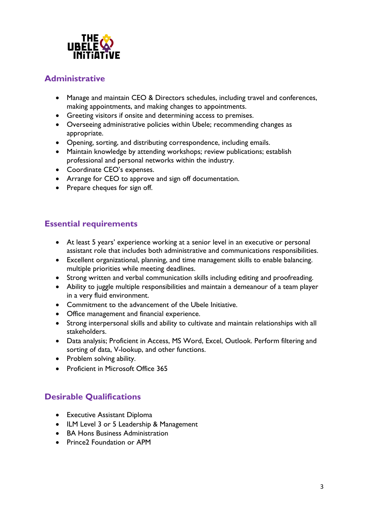

## **Administrative**

- Manage and maintain CEO & Directors schedules, including travel and conferences, making appointments, and making changes to appointments.
- Greeting visitors if onsite and determining access to premises.
- Overseeing administrative policies within Ubele; recommending changes as appropriate.
- Opening, sorting, and distributing correspondence, including emails.
- Maintain knowledge by attending workshops; review publications; establish professional and personal networks within the industry.
- Coordinate CEO's expenses.
- Arrange for CEO to approve and sign off documentation.
- Prepare cheques for sign off.

## **Essential requirements**

- At least 5 years' experience working at a senior level in an executive or personal assistant role that includes both administrative and communications responsibilities.
- Excellent organizational, planning, and time management skills to enable balancing. multiple priorities while meeting deadlines.
- Strong written and verbal communication skills including editing and proofreading.
- Ability to juggle multiple responsibilities and maintain a demeanour of a team player in a very fluid environment.
- Commitment to the advancement of the Ubele Initiative.
- Office management and financial experience.
- Strong interpersonal skills and ability to cultivate and maintain relationships with all stakeholders.
- Data analysis; Proficient in Access, MS Word, Excel, Outlook. Perform filtering and sorting of data, V-lookup, and other functions.
- Problem solving ability.
- Proficient in Microsoft Office 365

# **Desirable Qualifications**

- Executive Assistant Diploma
- ILM Level 3 or 5 Leadership & Management
- BA Hons Business Administration
- Prince2 Foundation or APM